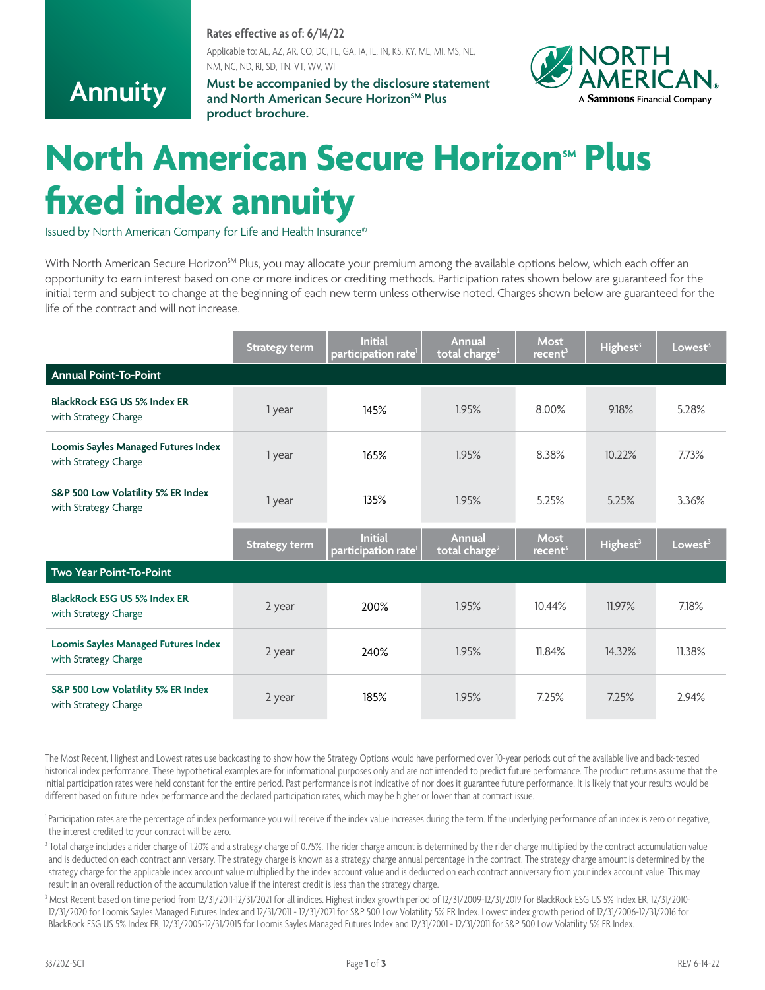#### **Rates effective as of: 6/14/22**

Applicable to: AL, AZ, AR, CO, DC, FL, GA, IA, IL, IN, KS, KY, ME, MI, MS, NE, NM, NC, ND, RI, SD, TN, VT, WV, WI

## **Annuity**

**Must be accompanied by the disclosure statement** and North American Secure Horizon<sup>SM</sup> Plus **product brochure.**



# **North American Secure Horizon<sup>sM</sup> Plus fixed index annuity**

Issued by North American Company for Life and Health Insurance®

With North American Secure Horizon<sup>SM</sup> Plus, you may allocate your premium among the available options below, which each offer an opportunity to earn interest based on one or more indices or crediting methods. Participation rates shown below are guaranteed for the initial term and subject to change at the beginning of each new term unless otherwise noted. Charges shown below are guaranteed for the life of the contract and will not increase.

|                                                             | <b>Strategy term</b> | <b>Initial</b><br>participation rate <sup>1</sup> | Annual<br>total charge <sup>2</sup>        | <b>Most</b><br>recent <sup>3</sup> | Highest <sup>3</sup> | Lowest <sup>3</sup> |
|-------------------------------------------------------------|----------------------|---------------------------------------------------|--------------------------------------------|------------------------------------|----------------------|---------------------|
| <b>Annual Point-To-Point</b>                                |                      |                                                   |                                            |                                    |                      |                     |
| BlackRock ESG US 5% Index ER<br>with Strategy Charge        | 1 year               | 145%                                              | 1.95%                                      | 8.00%                              | 9.18%                | 5.28%               |
| Loomis Sayles Managed Futures Index<br>with Strategy Charge | 1 year               | 165%                                              | 1.95%                                      | 8.38%                              | 10.22%               | 7.73%               |
| S&P 500 Low Volatility 5% ER Index<br>with Strategy Charge  | 1 year               | 135%                                              | 1.95%                                      | 5.25%                              | 5.25%                | 3.36%               |
|                                                             | Strategy term        | <b>Initial</b><br>participation rate <sup>1</sup> | <b>Annual</b><br>total charge <sup>2</sup> | <b>Most</b><br>recent <sup>3</sup> | Highest <sup>3</sup> | Lowest <sup>3</sup> |
| Two Year Point-To-Point                                     |                      |                                                   |                                            |                                    |                      |                     |
| <b>BlackRock ESG US 5% Index ER</b><br>with Strategy Charge | 2 year               | 200%                                              | 1.95%                                      | 10.44%                             | 11.97%               | 7.18%               |
| Loomis Sayles Managed Futures Index<br>with Strategy Charge | 2 year               | 240%                                              | 1.95%                                      | 11.84%                             | 14.32%               | 11.38%              |
| S&P 500 Low Volatility 5% ER Index<br>with Strategy Charge  | 2 year               | 185%                                              | 1.95%                                      | 7.25%                              | 7.25%                | 2.94%               |

The Most Recent, Highest and Lowest rates use backcasting to show how the Strategy Options would have performed over 10-year periods out of the available live and back-tested historical index performance. These hypothetical examples are for informational purposes only and are not intended to predict future performance. The product returns assume that the initial participation rates were held constant for the entire period. Past performance is not indicative of nor does it guarantee future performance. It is likely that your results would be different based on future index performance and the declared participation rates, which may be higher or lower than at contract issue.

<sup>1</sup> Participation rates are the percentage of index performance you will receive if the index value increases during the term. If the underlying performance of an index is zero or negative, the interest credited to your contract will be zero.

<sup>2</sup> Total charge includes a rider charge of 1.20% and a strategy charge of 0.75%. The rider charge amount is determined by the rider charge multiplied by the contract accumulation value and is deducted on each contract anniversary. The strategy charge is known as a strategy charge annual percentage in the contract. The strategy charge amount is determined by the strategy charge for the applicable index account value multiplied by the index account value and is deducted on each contract anniversary from your index account value. This may result in an overall reduction of the accumulation value if the interest credit is less than the strategy charge.

3 Most Recent based on time period from 12/31/2011-12/31/2021 for all indices. Highest index growth period of 12/31/2009-12/31/2019 for BlackRock ESG US 5% Index ER, 12/31/2010- 12/31/2020 for Loomis Sayles Managed Futures Index and 12/31/2011 - 12/31/2021 for S&P 500 Low Volatility 5% ER Index. Lowest index growth period of 12/31/2006-12/31/2016 for BlackRock ESG US 5% Index ER, 12/31/2005-12/31/2015 for Loomis Sayles Managed Futures Index and 12/31/2001 - 12/31/2011 for S&P 500 Low Volatility 5% ER Index.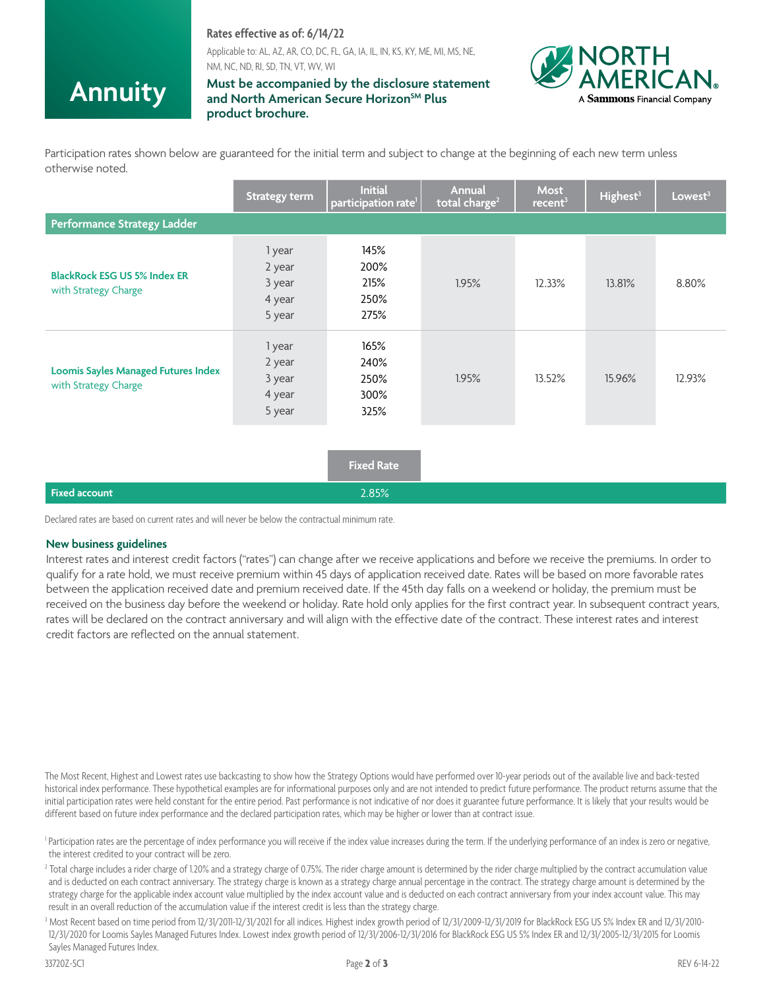### **Rates effective as of: 6/14/22**

Applicable to: AL, AZ, AR, CO, DC, FL, GA, IA, IL, IN, KS, KY, ME, MI, MS, NE, NM, NC, ND, RI, SD, TN, VT, WV, WI

## **Annuity**

#### **Must be accompanied by the disclosure statement** and North American Secure Horizon<sup>SM</sup> Plus **product brochure.**



Participation rates shown below are guaranteed for the initial term and subject to change at the beginning of each new term unless otherwise noted.

|                                                                    | <b>Strategy term</b>                           | <b>Initial</b><br>participation rate <sup>1</sup> | Annual<br>total charge <sup>2</sup> | Most<br>recent <sup>3</sup> | Highest <sup>3</sup> | Lowest <sup>3</sup> |
|--------------------------------------------------------------------|------------------------------------------------|---------------------------------------------------|-------------------------------------|-----------------------------|----------------------|---------------------|
| <b>Performance Strategy Ladder</b>                                 |                                                |                                                   |                                     |                             |                      |                     |
| <b>BlackRock ESG US 5% Index ER</b><br>with Strategy Charge        | 1 year<br>2 year<br>3 year<br>4 year<br>5 year | 145%<br>200%<br>215%<br>250%<br>275%              | 1.95%                               | 12.33%                      | 13.81%               | 8.80%               |
| <b>Loomis Sayles Managed Futures Index</b><br>with Strategy Charge | 1 year<br>2 year<br>3 year<br>4 year<br>5 year | 165%<br>240%<br>250%<br>300%<br>325%              | 1.95%                               | 13.52%                      | 15.96%               | 12.93%              |
|                                                                    |                                                | <b>Fixed Rate</b>                                 |                                     |                             |                      |                     |
| <b>Fixed account</b>                                               |                                                | 2.85%                                             |                                     |                             |                      |                     |

Declared rates are based on current rates and will never be below the contractual minimum rate.

#### **New business guidelines**

Interest rates and interest credit factors ("rates") can change after we receive applications and before we receive the premiums. In order to qualify for a rate hold, we must receive premium within 45 days of application received date. Rates will be based on more favorable rates between the application received date and premium received date. If the 45th day falls on a weekend or holiday, the premium must be received on the business day before the weekend or holiday. Rate hold only applies for the first contract year. In subsequent contract years, rates will be declared on the contract anniversary and will align with the effective date of the contract. These interest rates and interest credit factors are reflected on the annual statement.

The Most Recent, Highest and Lowest rates use backcasting to show how the Strategy Options would have performed over 10-year periods out of the available live and back-tested historical index performance. These hypothetical examples are for informational purposes only and are not intended to predict future performance. The product returns assume that the initial participation rates were held constant for the entire period. Past performance is not indicative of nor does it guarantee future performance. It is likely that your results would be different based on future index performance and the declared participation rates, which may be higher or lower than at contract issue.

<sup>1</sup> Participation rates are the percentage of index performance you will receive if the index value increases during the term. If the underlying performance of an index is zero or negative, the interest credited to your contract will be zero.

<sup>2</sup> Total charge includes a rider charge of 1.20% and a strategy charge of 0.75%. The rider charge amount is determined by the rider charge multiplied by the contract accumulation value and is deducted on each contract anniversary. The strategy charge is known as a strategy charge annual percentage in the contract. The strategy charge amount is determined by the strategy charge for the applicable index account value multiplied by the index account value and is deducted on each contract anniversary from your index account value. This may result in an overall reduction of the accumulation value if the interest credit is less than the strategy charge.

3 Most Recent based on time period from 12/31/2011-12/31/2021 for all indices. Highest index growth period of 12/31/2009-12/31/2019 for BlackRock ESG US 5% Index ER and 12/31/2010- 12/31/2020 for Loomis Sayles Managed Futures Index. Lowest index growth period of 12/31/2006-12/31/2016 for BlackRock ESG US 5% Index ER and 12/31/2005-12/31/2015 for Loomis Sayles Managed Futures Index.